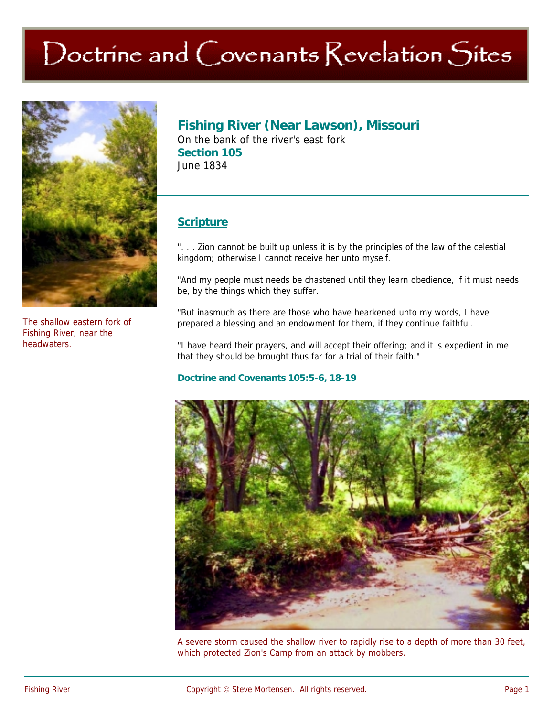# Doctrine and Covenants Revelation Sites



The shallow eastern fork of Fishing River, near the headwaters.

## **Fishing River (Near Lawson), Missouri**

On the bank of the river's east fork **Section 105**  June 1834

### **Scripture**

". . . Zion cannot be built up unless it is by the principles of the law of the celestial kingdom; otherwise I cannot receive her unto myself.

"And my people must needs be chastened until they learn obedience, if it must needs be, by the things which they suffer.

"But inasmuch as there are those who have hearkened unto my words, I have prepared a blessing and an endowment for them, if they continue faithful.

"I have heard their prayers, and will accept their offering; and it is expedient in me that they should be brought thus far for a trial of their faith."

#### **Doctrine and Covenants 105:5-6, 18-19**



A severe storm caused the shallow river to rapidly rise to a depth of more than 30 feet, which protected Zion's Camp from an attack by mobbers.